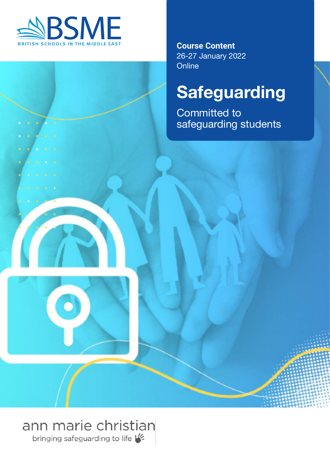

**Course Content** 26-27 January 2022 **Online** 

# **Safeguarding**

**Committed to** safeguarding students

## ann marie christian

bringing safeguarding to life V